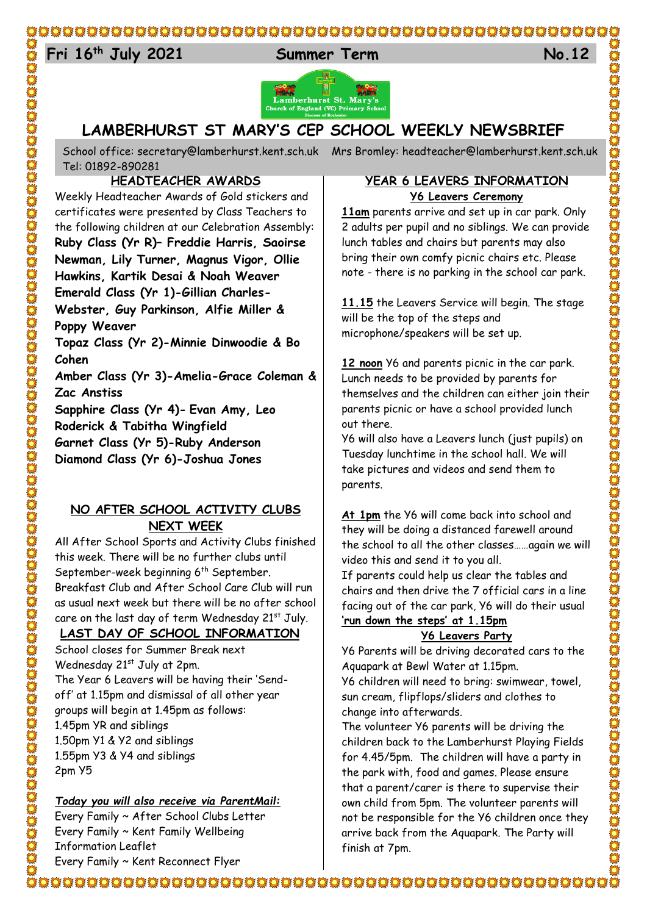## 

# 24 **Fri 16th July 2021 Summer Term No.12**



## **LAMBERHURST ST MARY'S CEP SCHOOL WEEKLY NEWSBRIEF**

School office: [secretary@lamberhurst.kent.sch.uk](mailto:secretary@lamberhurst.kent.sch.uk) Mrs Bromley: headteacher@lamberhurst.kent.sch.uk Tel: 01892-890281

## **HEADTEACHER AWARDS**

Weekly Headteacher Awards of Gold stickers and certificates were presented by Class Teachers to the following children at our Celebration Assembly: **Ruby Class (Yr R)– Freddie Harris, Saoirse Newman, Lily Turner, Magnus Vigor, Ollie Hawkins, Kartik Desai & Noah Weaver Emerald Class (Yr 1)-Gillian Charles-Webster, Guy Parkinson, Alfie Miller & Poppy Weaver Topaz Class (Yr 2)-Minnie Dinwoodie & Bo Cohen Amber Class (Yr 3)-Amelia-Grace Coleman & Zac Anstiss Sapphire Class (Yr 4)- Evan Amy, Leo Roderick & Tabitha Wingfield Garnet Class (Yr 5)-Ruby Anderson Diamond Class (Yr 6)-Joshua Jones**

## **NO AFTER SCHOOL ACTIVITY CLUBS NEXT WEEK**

All After School Sports and Activity Clubs finished this week. There will be no further clubs until September-week beginning 6<sup>th</sup> September. Breakfast Club and After School Care Club will run as usual next week but there will be no after school care on the last day of term Wednesday  $21<sup>st</sup>$  July.

## **LAST DAY OF SCHOOL INFORMATION**

School closes for Summer Break next Wednesday 21st July at 2pm. The Year 6 Leavers will be having their 'Sendoff' at 1.15pm and dismissal of all other year groups will begin at 1.45pm as follows: 1.45pm YR and siblings 1.50pm Y1 & Y2 and siblings 1.55pm Y3 & Y4 and siblings 2pm Y5

## *Today you will also receive via ParentMail:*

Every Family ~ After School Clubs Letter Every Family ~ Kent Family Wellbeing Information Leaflet Every Family ~ Kent Reconnect Flyer

## **YEAR 6 LEAVERS INFORMATION Y6 Leavers Ceremony**

**11am** parents arrive and set up in car park. Only 2 adults per pupil and no siblings. We can provide lunch tables and chairs but parents may also bring their own comfy picnic chairs etc. Please note - there is no parking in the school car park.

**11.15** the Leavers Service will begin. The stage will be the top of the steps and microphone/speakers will be set up.

**12 noon** Y6 and parents picnic in the car park. Lunch needs to be provided by parents for themselves and the children can either join their parents picnic or have a school provided lunch out there.

Y6 will also have a Leavers lunch (just pupils) on Tuesday lunchtime in the school hall. We will take pictures and videos and send them to parents.

C

**At 1pm** the Y6 will come back into school and they will be doing a distanced farewell around the school to all the other classes……again we will video this and send it to you all.

If parents could help us clear the tables and chairs and then drive the 7 official cars in a line facing out of the car park, Y6 will do their usual **'run down the steps' at 1.15pm**

## **Y6 Leavers Party**

Y6 Parents will be driving decorated cars to the Aquapark at Bewl Water at 1.15pm.

Y6 children will need to bring: swimwear, towel, sun cream, flipflops/sliders and clothes to change into afterwards.

The volunteer Y6 parents will be driving the children back to the Lamberhurst Playing Fields for 4.45/5pm. The children will have a party in the park with, food and games. Please ensure that a parent/carer is there to supervise their own child from 5pm. The volunteer parents will not be responsible for the Y6 children once they arrive back from the Aquapark. The Party will finish at 7pm.